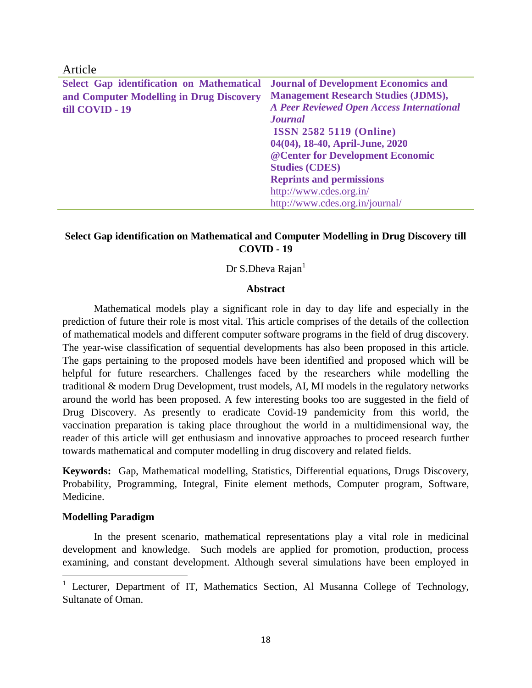Article

| Select Gap identification on Mathematical Journal of Development Economics and |                                                  |
|--------------------------------------------------------------------------------|--------------------------------------------------|
| and Computer Modelling in Drug Discovery                                       | <b>Management Research Studies (JDMS),</b>       |
| till COVID - 19                                                                | <b>A Peer Reviewed Open Access International</b> |
|                                                                                | <b>Journal</b>                                   |
|                                                                                | <b>ISSN 2582 5119 (Online)</b>                   |
|                                                                                | 04(04), 18-40, April-June, 2020                  |
|                                                                                | @ Center for Development Economic                |
|                                                                                | <b>Studies (CDES)</b>                            |
|                                                                                | <b>Reprints and permissions</b>                  |
|                                                                                | http://www.cdes.org.in/                          |
|                                                                                | http://www.cdes.org.in/journal/                  |

# **Select Gap identification on Mathematical and Computer Modelling in Drug Discovery till COVID - 19**

Dr S.Dheva Rajan<sup>1</sup>

#### **Abstract**

Mathematical models play a significant role in day to day life and especially in the prediction of future their role is most vital. This article comprises of the details of the collection of mathematical models and different computer software programs in the field of drug discovery. The year-wise classification of sequential developments has also been proposed in this article. The gaps pertaining to the proposed models have been identified and proposed which will be helpful for future researchers. Challenges faced by the researchers while modelling the traditional & modern Drug Development, trust models, AI, MI models in the regulatory networks around the world has been proposed. A few interesting books too are suggested in the field of Drug Discovery. As presently to eradicate Covid-19 pandemicity from this world, the vaccination preparation is taking place throughout the world in a multidimensional way, the reader of this article will get enthusiasm and innovative approaches to proceed research further towards mathematical and computer modelling in drug discovery and related fields.

**Keywords:** Gap, Mathematical modelling, Statistics, Differential equations, Drugs Discovery, Probability, Programming, Integral, Finite element methods, Computer program, Software, Medicine.

#### **Modelling Paradigm**

 $\overline{\phantom{a}}$ 

In the present scenario, mathematical representations play a vital role in medicinal development and knowledge. Such models are applied for promotion, production, process examining, and constant development. Although several simulations have been employed in

<sup>&</sup>lt;sup>1</sup> Lecturer, Department of IT, Mathematics Section, Al Musanna College of Technology, Sultanate of Oman.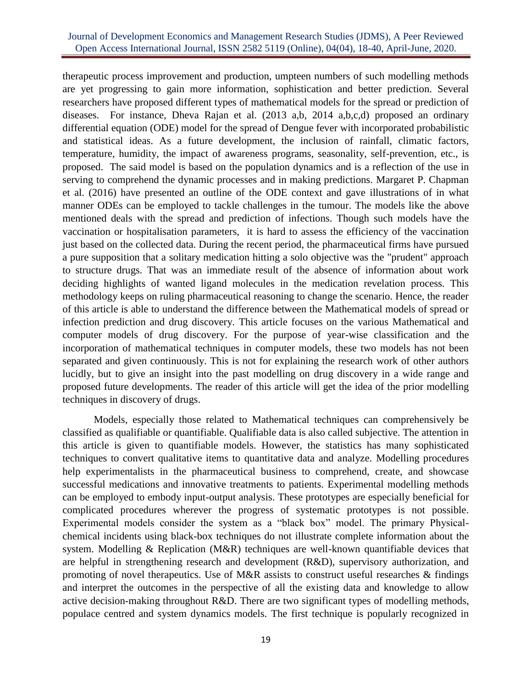### Journal of Development Economics and Management Research Studies (JDMS), A Peer Reviewed Open Access International Journal, ISSN 2582 5119 (Online), 04(04), 18-40, April-June, 2020.

therapeutic process improvement and production, umpteen numbers of such modelling methods are yet progressing to gain more information, sophistication and better prediction. Several researchers have proposed different types of mathematical models for the spread or prediction of diseases. For instance, Dheva Rajan et al. (2013 a,b, 2014 a,b,c,d) proposed an ordinary differential equation (ODE) model for the spread of Dengue fever with incorporated probabilistic and statistical ideas. As a future development, the inclusion of rainfall, climatic factors, temperature, humidity, the impact of awareness programs, seasonality, self-prevention, etc., is proposed. The said model is based on the population dynamics and is a reflection of the use in serving to comprehend the dynamic processes and in making predictions. Margaret P. Chapman et al. (2016) have presented an outline of the ODE context and gave illustrations of in what manner ODEs can be employed to tackle challenges in the tumour. The models like the above mentioned deals with the spread and prediction of infections. Though such models have the vaccination or hospitalisation parameters, it is hard to assess the efficiency of the vaccination just based on the collected data. During the recent period, the pharmaceutical firms have pursued a pure supposition that a solitary medication hitting a solo objective was the "prudent" approach to structure drugs. That was an immediate result of the absence of information about work deciding highlights of wanted ligand molecules in the medication revelation process. This methodology keeps on ruling pharmaceutical reasoning to change the scenario. Hence, the reader of this article is able to understand the difference between the Mathematical models of spread or infection prediction and drug discovery. This article focuses on the various Mathematical and computer models of drug discovery. For the purpose of year-wise classification and the incorporation of mathematical techniques in computer models, these two models has not been separated and given continuously. This is not for explaining the research work of other authors lucidly, but to give an insight into the past modelling on drug discovery in a wide range and proposed future developments. The reader of this article will get the idea of the prior modelling techniques in discovery of drugs.

Models, especially those related to Mathematical techniques can comprehensively be classified as qualifiable or quantifiable. Qualifiable data is also called subjective. The attention in this article is given to quantifiable models. However, the statistics has many sophisticated techniques to convert qualitative items to quantitative data and analyze. Modelling procedures help experimentalists in the pharmaceutical business to comprehend, create, and showcase successful medications and innovative treatments to patients. Experimental modelling methods can be employed to embody input-output analysis. These prototypes are especially beneficial for complicated procedures wherever the progress of systematic prototypes is not possible. Experimental models consider the system as a "black box" model. The primary Physicalchemical incidents using black-box techniques do not illustrate complete information about the system. Modelling & Replication (M&R) techniques are well-known quantifiable devices that are helpful in strengthening research and development (R&D), supervisory authorization, and promoting of novel therapeutics. Use of M&R assists to construct useful researches  $\&$  findings and interpret the outcomes in the perspective of all the existing data and knowledge to allow active decision-making throughout R&D. There are two significant types of modelling methods, populace centred and system dynamics models. The first technique is popularly recognized in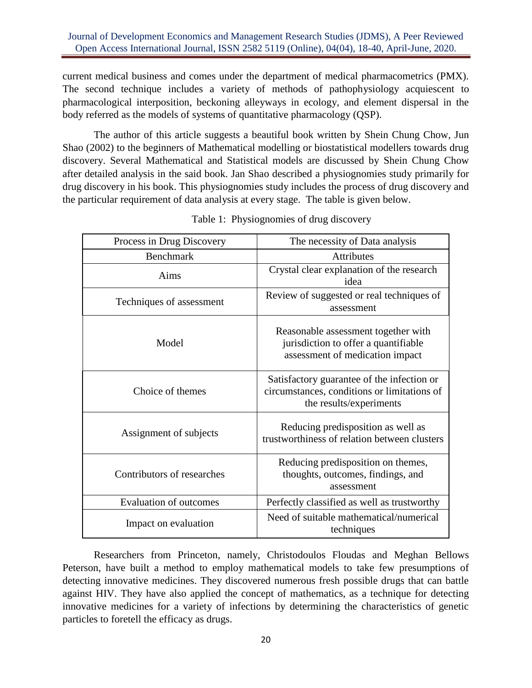current medical business and comes under the department of medical pharmacometrics (PMX). The second technique includes a variety of methods of pathophysiology acquiescent to pharmacological interposition, beckoning alleyways in ecology, and element dispersal in the body referred as the models of systems of quantitative pharmacology (QSP).

The author of this article suggests a beautiful book written by Shein Chung Chow, Jun Shao (2002) to the beginners of Mathematical modelling or biostatistical modellers towards drug discovery. Several Mathematical and Statistical models are discussed by Shein Chung Chow after detailed analysis in the said book. Jan Shao described a physiognomies study primarily for drug discovery in his book. This physiognomies study includes the process of drug discovery and the particular requirement of data analysis at every stage. The table is given below.

| Process in Drug Discovery     | The necessity of Data analysis                                                                                       |
|-------------------------------|----------------------------------------------------------------------------------------------------------------------|
| <b>Benchmark</b>              | Attributes                                                                                                           |
| Aims                          | Crystal clear explanation of the research<br>idea                                                                    |
| Techniques of assessment      | Review of suggested or real techniques of<br>assessment                                                              |
| Model                         | Reasonable assessment together with<br>jurisdiction to offer a quantifiable<br>assessment of medication impact       |
| Choice of themes              | Satisfactory guarantee of the infection or<br>circumstances, conditions or limitations of<br>the results/experiments |
| Assignment of subjects        | Reducing predisposition as well as<br>trustworthiness of relation between clusters                                   |
| Contributors of researches    | Reducing predisposition on themes,<br>thoughts, outcomes, findings, and<br>assessment                                |
| <b>Evaluation of outcomes</b> | Perfectly classified as well as trustworthy                                                                          |
| Impact on evaluation          | Need of suitable mathematical/numerical<br>techniques                                                                |

Table 1: Physiognomies of drug discovery

Researchers from Princeton, namely, Christodoulos Floudas and Meghan Bellows Peterson, have built a method to employ mathematical models to take few presumptions of detecting innovative medicines. They discovered numerous fresh possible drugs that can battle against HIV. They have also applied the concept of mathematics, as a technique for detecting innovative medicines for a variety of infections by determining the characteristics of genetic particles to foretell the efficacy as drugs.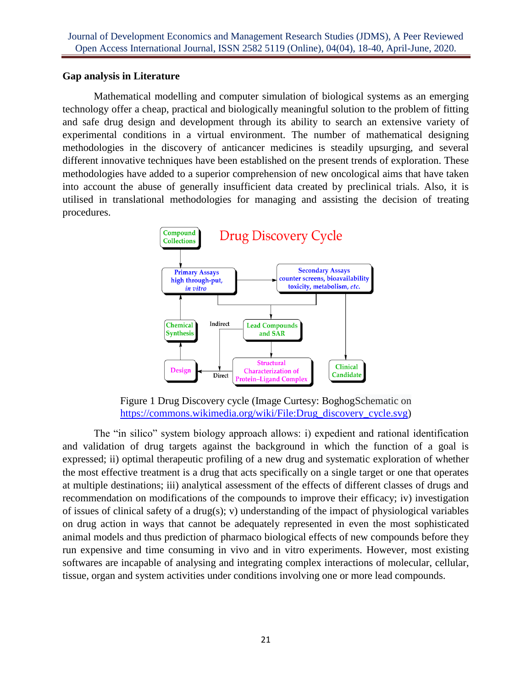### **Gap analysis in Literature**

Mathematical modelling and computer simulation of biological systems as an emerging technology offer a cheap, practical and biologically meaningful solution to the problem of fitting and safe drug design and development through its ability to search an extensive variety of experimental conditions in a virtual environment. The number of mathematical designing methodologies in the discovery of anticancer medicines is steadily upsurging, and several different innovative techniques have been established on the present trends of exploration. These methodologies have added to a superior comprehension of new oncological aims that have taken into account the abuse of generally insufficient data created by preclinical trials. Also, it is utilised in translational methodologies for managing and assisting the decision of treating procedures.



Figure 1 Drug Discovery cycle (Image Curtesy: BoghogSchematic on [https://commons.wikimedia.org/wiki/File:Drug\\_discovery\\_cycle.svg\)](https://commons.wikimedia.org/wiki/File:Drug_discovery_cycle.svg)

The "in silico" system biology approach allows: i) expedient and rational identification and validation of drug targets against the background in which the function of a goal is expressed; ii) optimal therapeutic profiling of a new drug and systematic exploration of whether the most effective treatment is a drug that acts specifically on a single target or one that operates at multiple destinations; iii) analytical assessment of the effects of different classes of drugs and recommendation on modifications of the compounds to improve their efficacy; iv) investigation of issues of clinical safety of a drug(s); v) understanding of the impact of physiological variables on drug action in ways that cannot be adequately represented in even the most sophisticated animal models and thus prediction of pharmaco biological effects of new compounds before they run expensive and time consuming in vivo and in vitro experiments. However, most existing softwares are incapable of analysing and integrating complex interactions of molecular, cellular, tissue, organ and system activities under conditions involving one or more lead compounds.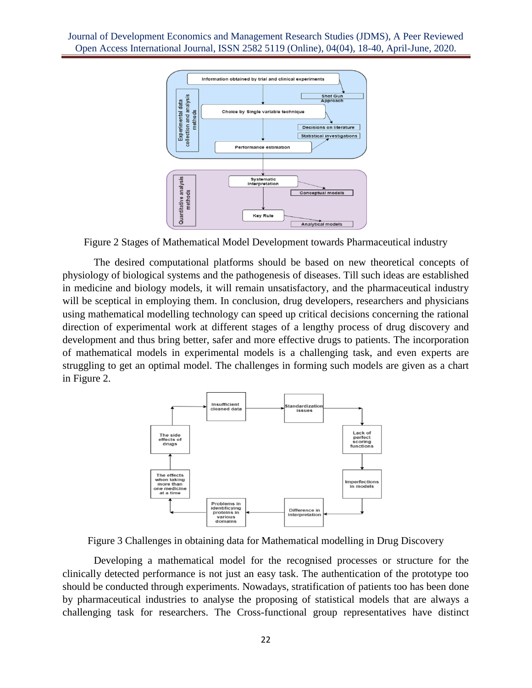

Figure 2 Stages of Mathematical Model Development towards Pharmaceutical industry

The desired computational platforms should be based on new theoretical concepts of physiology of biological systems and the pathogenesis of diseases. Till such ideas are established in medicine and biology models, it will remain unsatisfactory, and the pharmaceutical industry will be sceptical in employing them. In conclusion, drug developers, researchers and physicians using mathematical modelling technology can speed up critical decisions concerning the rational direction of experimental work at different stages of a lengthy process of drug discovery and development and thus bring better, safer and more effective drugs to patients. The incorporation of mathematical models in experimental models is a challenging task, and even experts are struggling to get an optimal model. The challenges in forming such models are given as a chart in Figure 2.



Figure 3 Challenges in obtaining data for Mathematical modelling in Drug Discovery

Developing a mathematical model for the recognised processes or structure for the clinically detected performance is not just an easy task. The authentication of the prototype too should be conducted through experiments. Nowadays, stratification of patients too has been done by pharmaceutical industries to analyse the proposing of statistical models that are always a challenging task for researchers. The Cross-functional group representatives have distinct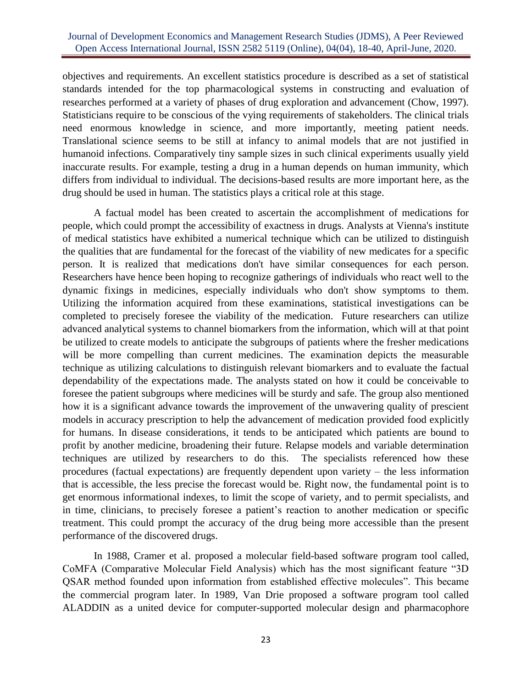objectives and requirements. An excellent statistics procedure is described as a set of statistical standards intended for the top pharmacological systems in constructing and evaluation of researches performed at a variety of phases of drug exploration and advancement (Chow, 1997). Statisticians require to be conscious of the vying requirements of stakeholders. The clinical trials need enormous knowledge in science, and more importantly, meeting patient needs. Translational science seems to be still at infancy to animal models that are not justified in humanoid infections. Comparatively tiny sample sizes in such clinical experiments usually yield inaccurate results. For example, testing a drug in a human depends on human immunity, which differs from individual to individual. The decisions-based results are more important here, as the drug should be used in human. The statistics plays a critical role at this stage.

A factual model has been created to ascertain the accomplishment of medications for people, which could prompt the accessibility of exactness in drugs. Analysts at Vienna's institute of medical statistics have exhibited a numerical technique which can be utilized to distinguish the qualities that are fundamental for the forecast of the viability of new medicates for a specific person. It is realized that medications don't have similar consequences for each person. Researchers have hence been hoping to recognize gatherings of individuals who react well to the dynamic fixings in medicines, especially individuals who don't show symptoms to them. Utilizing the information acquired from these examinations, statistical investigations can be completed to precisely foresee the viability of the medication. Future researchers can utilize advanced analytical systems to channel biomarkers from the information, which will at that point be utilized to create models to anticipate the subgroups of patients where the fresher medications will be more compelling than current medicines. The examination depicts the measurable technique as utilizing calculations to distinguish relevant biomarkers and to evaluate the factual dependability of the expectations made. The analysts stated on how it could be conceivable to foresee the patient subgroups where medicines will be sturdy and safe. The group also mentioned how it is a significant advance towards the improvement of the unwavering quality of prescient models in accuracy prescription to help the advancement of medication provided food explicitly for humans. In disease considerations, it tends to be anticipated which patients are bound to profit by another medicine, broadening their future. Relapse models and variable determination techniques are utilized by researchers to do this. The specialists referenced how these procedures (factual expectations) are frequently dependent upon variety – the less information that is accessible, the less precise the forecast would be. Right now, the fundamental point is to get enormous informational indexes, to limit the scope of variety, and to permit specialists, and in time, clinicians, to precisely foresee a patient's reaction to another medication or specific treatment. This could prompt the accuracy of the drug being more accessible than the present performance of the discovered drugs.

In 1988, Cramer et al. proposed a molecular field-based software program tool called, CoMFA (Comparative Molecular Field Analysis) which has the most significant feature "3D QSAR method founded upon information from established effective molecules". This became the commercial program later. In 1989, Van Drie proposed a software program tool called ALADDIN as a united device for computer-supported molecular design and pharmacophore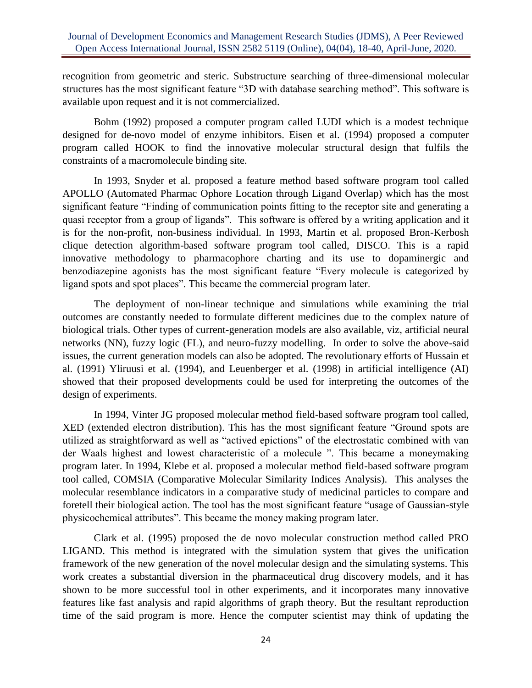recognition from geometric and steric. Substructure searching of three-dimensional molecular structures has the most significant feature "3D with database searching method". This software is available upon request and it is not commercialized.

Bohm (1992) proposed a computer program called LUDI which is a modest technique designed for de-novo model of enzyme inhibitors. Eisen et al. (1994) proposed a computer program called HOOK to find the innovative molecular structural design that fulfils the constraints of a macromolecule binding site.

In 1993, Snyder et al. proposed a feature method based software program tool called APOLLO (Automated Pharmac Ophore Location through Ligand Overlap) which has the most significant feature "Finding of communication points fitting to the receptor site and generating a quasi receptor from a group of ligands". This software is offered by a writing application and it is for the non-profit, non-business individual. In 1993, Martin et al. proposed Bron-Kerbosh clique detection algorithm-based software program tool called, DISCO. This is a rapid innovative methodology to pharmacophore charting and its use to dopaminergic and benzodiazepine agonists has the most significant feature "Every molecule is categorized by ligand spots and spot places". This became the commercial program later.

The deployment of non-linear technique and simulations while examining the trial outcomes are constantly needed to formulate different medicines due to the complex nature of biological trials. Other types of current-generation models are also available, viz, artificial neural networks (NN), fuzzy logic (FL), and neuro-fuzzy modelling. In order to solve the above-said issues, the current generation models can also be adopted. The revolutionary efforts of Hussain et al. (1991) Yliruusi et al. (1994), and Leuenberger et al. (1998) in artificial intelligence (AI) showed that their proposed developments could be used for interpreting the outcomes of the design of experiments.

In 1994, Vinter JG proposed molecular method field-based software program tool called, XED (extended electron distribution). This has the most significant feature "Ground spots are utilized as straightforward as well as "actived epictions" of the electrostatic combined with van der Waals highest and lowest characteristic of a molecule ". This became a moneymaking program later. In 1994, Klebe et al. proposed a molecular method field-based software program tool called, COMSIA (Comparative Molecular Similarity Indices Analysis). This analyses the molecular resemblance indicators in a comparative study of medicinal particles to compare and foretell their biological action. The tool has the most significant feature "usage of Gaussian-style physicochemical attributes". This became the money making program later.

Clark et al. (1995) proposed the de novo molecular construction method called PRO LIGAND. This method is integrated with the simulation system that gives the unification framework of the new generation of the novel molecular design and the simulating systems. This work creates a substantial diversion in the pharmaceutical drug discovery models, and it has shown to be more successful tool in other experiments, and it incorporates many innovative features like fast analysis and rapid algorithms of graph theory. But the resultant reproduction time of the said program is more. Hence the computer scientist may think of updating the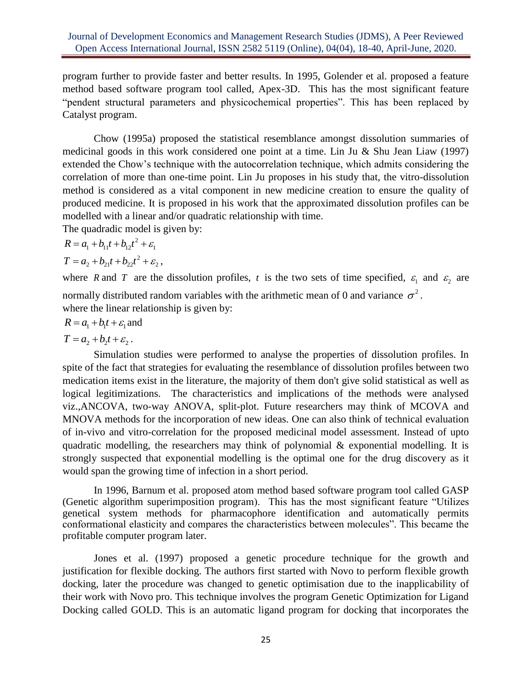program further to provide faster and better results. In 1995, Golender et al. proposed a feature method based software program tool called, Apex-3D. This has the most significant feature "pendent structural parameters and physicochemical properties". This has been replaced by Catalyst program.

Chow (1995a) proposed the statistical resemblance amongst dissolution summaries of medicinal goods in this work considered one point at a time. Lin Ju & Shu Jean Liaw (1997) extended the Chow's technique with the autocorrelation technique, which admits considering the correlation of more than one-time point. Lin Ju proposes in his study that, the vitro-dissolution method is considered as a vital component in new medicine creation to ensure the quality of produced medicine. It is proposed in his work that the approximated dissolution profiles can be modelled with a linear and/or quadratic relationship with time.

The quadradic model is given by:

$$
R = a_1 + b_{11}t + b_{12}t^2 + \varepsilon_1
$$

 $T = a_2 + b_{21}t + b_{22}t^2 + \varepsilon_2$ ,

where R and T are the dissolution profiles, t is the two sets of time specified,  $\varepsilon_1$  and  $\varepsilon_2$  are normally distributed random variables with the arithmetic mean of 0 and variance  $\sigma^2$ .

where the linear relationship is given by:

$$
R = a_1 + b_1 t + \varepsilon_1
$$
 and

 $T = a_1 + b_2 t + \varepsilon_2$ .

Simulation studies were performed to analyse the properties of dissolution profiles. In spite of the fact that strategies for evaluating the resemblance of dissolution profiles between two medication items exist in the literature, the majority of them don't give solid statistical as well as logical legitimizations. The characteristics and implications of the methods were analysed viz.,ANCOVA, two-way ANOVA, split-plot. Future researchers may think of MCOVA and MNOVA methods for the incorporation of new ideas. One can also think of technical evaluation of in-vivo and vitro-correlation for the proposed medicinal model assessment. Instead of upto quadratic modelling, the researchers may think of polynomial & exponential modelling. It is strongly suspected that exponential modelling is the optimal one for the drug discovery as it would span the growing time of infection in a short period.

In 1996, Barnum et al. proposed atom method based software program tool called GASP (Genetic algorithm superimposition program). This has the most significant feature "Utilizes genetical system methods for pharmacophore identification and automatically permits conformational elasticity and compares the characteristics between molecules". This became the profitable computer program later.

Jones et al. (1997) proposed a genetic procedure technique for the growth and justification for flexible docking. The authors first started with Novo to perform flexible growth docking, later the procedure was changed to genetic optimisation due to the inapplicability of their work with Novo pro. This technique involves the program Genetic Optimization for Ligand Docking called GOLD. This is an automatic ligand program for docking that incorporates the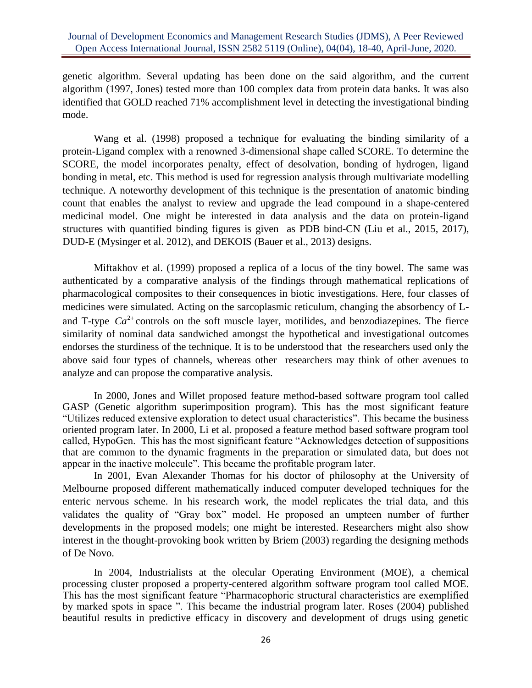genetic algorithm. Several updating has been done on the said algorithm, and the current algorithm (1997, Jones) tested more than 100 complex data from protein data banks. It was also identified that GOLD reached 71% accomplishment level in detecting the investigational binding mode.

Wang et al. (1998) proposed a technique for evaluating the binding similarity of a protein-Ligand complex with a renowned 3-dimensional shape called SCORE. To determine the SCORE, the model incorporates penalty, effect of desolvation, bonding of hydrogen, ligand bonding in metal, etc. This method is used for regression analysis through multivariate modelling technique. A noteworthy development of this technique is the presentation of anatomic binding count that enables the analyst to review and upgrade the lead compound in a shape-centered medicinal model. One might be interested in data analysis and the data on protein-ligand structures with quantified binding figures is given as PDB bind-CN (Liu et al., 2015, 2017), DUD-E (Mysinger et al. 2012), and DEKOIS (Bauer et al., 2013) designs.

Miftakhov et al. (1999) proposed a replica of a locus of the tiny bowel. The same was authenticated by a comparative analysis of the findings through mathematical replications of pharmacological composites to their consequences in biotic investigations. Here, four classes of medicines were simulated. Acting on the sarcoplasmic reticulum, changing the absorbency of Land T-type  $Ca^{2+}$  controls on the soft muscle layer, motilides, and benzodiazepines. The fierce similarity of nominal data sandwiched amongst the hypothetical and investigational outcomes endorses the sturdiness of the technique. It is to be understood that the researchers used only the above said four types of channels, whereas other researchers may think of other avenues to analyze and can propose the comparative analysis.

In 2000, Jones and Willet proposed feature method-based software program tool called GASP (Genetic algorithm superimposition program). This has the most significant feature "Utilizes reduced extensive exploration to detect usual characteristics". This became the business oriented program later. In 2000, Li et al. proposed a feature method based software program tool called, HypoGen. This has the most significant feature "Acknowledges detection of suppositions that are common to the dynamic fragments in the preparation or simulated data, but does not appear in the inactive molecule". This became the profitable program later.

In 2001, Evan Alexander Thomas for his doctor of philosophy at the University of Melbourne proposed different mathematically induced computer developed techniques for the enteric nervous scheme. In his research work, the model replicates the trial data, and this validates the quality of "Gray box" model. He proposed an umpteen number of further developments in the proposed models; one might be interested. Researchers might also show interest in the thought-provoking book written by Briem (2003) regarding the designing methods of De Novo.

In 2004, Industrialists at the olecular Operating Environment (MOE), a chemical processing cluster proposed a property-centered algorithm software program tool called MOE. This has the most significant feature "Pharmacophoric structural characteristics are exemplified by marked spots in space ". This became the industrial program later. Roses (2004) published beautiful results in predictive efficacy in discovery and development of drugs using genetic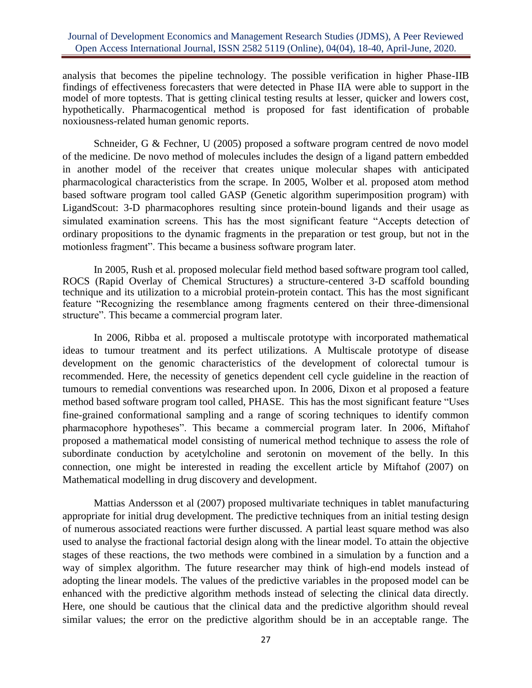analysis that becomes the pipeline technology. The possible verification in higher Phase-IIB findings of effectiveness forecasters that were detected in Phase IIA were able to support in the model of more toptests. That is getting clinical testing results at lesser, quicker and lowers cost, hypothetically. Pharmacogentical method is proposed for fast identification of probable noxiousness-related human genomic reports.

Schneider, G & Fechner, U (2005) proposed a software program centred de novo model of the medicine. De novo method of molecules includes the design of a ligand pattern embedded in another model of the receiver that creates unique molecular shapes with anticipated pharmacological characteristics from the scrape. In 2005, Wolber et al. proposed atom method based software program tool called GASP (Genetic algorithm superimposition program) with LigandScout: 3-D pharmacophores resulting since protein-bound ligands and their usage as simulated examination screens. This has the most significant feature "Accepts detection of ordinary propositions to the dynamic fragments in the preparation or test group, but not in the motionless fragment". This became a business software program later.

In 2005, Rush et al. proposed molecular field method based software program tool called, ROCS (Rapid Overlay of Chemical Structures) a structure-centered 3-D scaffold bounding technique and its utilization to a microbial protein-protein contact. This has the most significant feature "Recognizing the resemblance among fragments centered on their three-dimensional structure". This became a commercial program later.

In 2006, Ribba et al. proposed a multiscale prototype with incorporated mathematical ideas to tumour treatment and its perfect utilizations. A Multiscale prototype of disease development on the genomic characteristics of the development of colorectal tumour is recommended. Here, the necessity of genetics dependent cell cycle guideline in the reaction of tumours to remedial conventions was researched upon. In 2006, Dixon et al proposed a feature method based software program tool called, PHASE. This has the most significant feature "Uses fine-grained conformational sampling and a range of scoring techniques to identify common pharmacophore hypotheses". This became a commercial program later. In 2006, Miftahof proposed a mathematical model consisting of numerical method technique to assess the role of subordinate conduction by acetylcholine and serotonin on movement of the belly. In this connection, one might be interested in reading the excellent article by Miftahof (2007) on Mathematical modelling in drug discovery and development.

Mattias Andersson et al (2007) proposed multivariate techniques in tablet manufacturing appropriate for initial drug development. The predictive techniques from an initial testing design of numerous associated reactions were further discussed. A partial least square method was also used to analyse the fractional factorial design along with the linear model. To attain the objective stages of these reactions, the two methods were combined in a simulation by a function and a way of simplex algorithm. The future researcher may think of high-end models instead of adopting the linear models. The values of the predictive variables in the proposed model can be enhanced with the predictive algorithm methods instead of selecting the clinical data directly. Here, one should be cautious that the clinical data and the predictive algorithm should reveal similar values; the error on the predictive algorithm should be in an acceptable range. The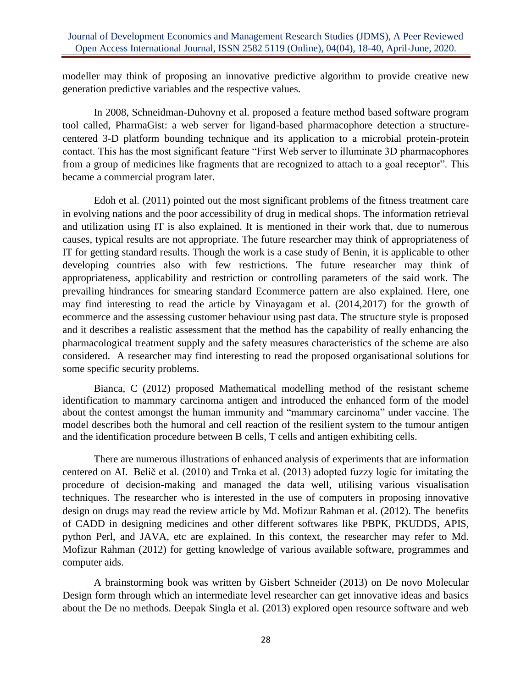modeller may think of proposing an innovative predictive algorithm to provide creative new generation predictive variables and the respective values.

In 2008, Schneidman-Duhovny et al. proposed a feature method based software program tool called, PharmaGist: a web server for ligand-based pharmacophore detection a structurecentered 3-D platform bounding technique and its application to a microbial protein-protein contact. This has the most significant feature "First Web server to illuminate 3D pharmacophores from a group of medicines like fragments that are recognized to attach to a goal receptor". This became a commercial program later.

Edoh et al. (2011) pointed out the most significant problems of the fitness treatment care in evolving nations and the poor accessibility of drug in medical shops. The information retrieval and utilization using IT is also explained. It is mentioned in their work that, due to numerous causes, typical results are not appropriate. The future researcher may think of appropriateness of IT for getting standard results. Though the work is a case study of Benin, it is applicable to other developing countries also with few restrictions. The future researcher may think of appropriateness, applicability and restriction or controlling parameters of the said work. The prevailing hindrances for smearing standard Ecommerce pattern are also explained. Here, one may find interesting to read the article by Vinayagam et al. (2014,2017) for the growth of ecommerce and the assessing customer behaviour using past data. The structure style is proposed and it describes a realistic assessment that the method has the capability of really enhancing the pharmacological treatment supply and the safety measures characteristics of the scheme are also considered. A researcher may find interesting to read the proposed organisational solutions for some specific security problems.

Bianca, C (2012) proposed Mathematical modelling method of the resistant scheme identification to mammary carcinoma antigen and introduced the enhanced form of the model about the contest amongst the human immunity and "mammary carcinoma" under vaccine. The model describes both the humoral and cell reaction of the resilient system to the tumour antigen and the identification procedure between B cells, T cells and antigen exhibiting cells.

There are numerous illustrations of enhanced analysis of experiments that are information centered on AI. Belič et al. (2010) and Trnka et al. (2013) adopted fuzzy logic for imitating the procedure of decision-making and managed the data well, utilising various visualisation techniques. The researcher who is interested in the use of computers in proposing innovative design on drugs may read the review article by Md. Mofizur Rahman et al. (2012). The benefits of CADD in designing medicines and other different softwares like PBPK, PKUDDS, APIS, python Perl, and JAVA, etc are explained. In this context, the researcher may refer to Md. Mofizur Rahman (2012) for getting knowledge of various available software, programmes and computer aids.

A brainstorming book was written by Gisbert Schneider (2013) on De novo Molecular Design form through which an intermediate level researcher can get innovative ideas and basics about the De no methods. Deepak Singla et al. (2013) explored open resource software and web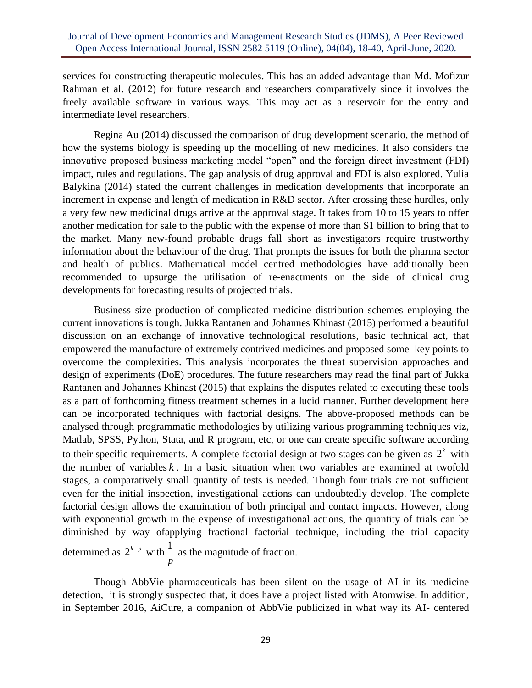services for constructing therapeutic molecules. This has an added advantage than Md. Mofizur Rahman et al. (2012) for future research and researchers comparatively since it involves the freely available software in various ways. This may act as a reservoir for the entry and intermediate level researchers.

Regina Au (2014) discussed the comparison of drug development scenario, the method of how the systems biology is speeding up the modelling of new medicines. It also considers the innovative proposed business marketing model "open" and the foreign direct investment (FDI) impact, rules and regulations. The gap analysis of drug approval and FDI is also explored. Yulia Balykina (2014) stated the current challenges in medication developments that incorporate an increment in expense and length of medication in R&D sector. After crossing these hurdles, only a very few new medicinal drugs arrive at the approval stage. It takes from 10 to 15 years to offer another medication for sale to the public with the expense of more than \$1 billion to bring that to the market. Many new-found probable drugs fall short as investigators require trustworthy information about the behaviour of the drug. That prompts the issues for both the pharma sector and health of publics. Mathematical model centred methodologies have additionally been recommended to upsurge the utilisation of re-enactments on the side of clinical drug developments for forecasting results of projected trials.

Business size production of complicated medicine distribution schemes employing the current innovations is tough. Jukka Rantanen and Johannes Khinast (2015) performed a beautiful discussion on an exchange of innovative technological resolutions, basic technical act, that empowered the manufacture of extremely contrived medicines and proposed some key points to overcome the complexities. This analysis incorporates the threat supervision approaches and design of experiments (DoE) procedures. The future researchers may read the final part of Jukka Rantanen and Johannes Khinast (2015) that explains the disputes related to executing these tools as a part of forthcoming fitness treatment schemes in a lucid manner. Further development here can be incorporated techniques with factorial designs. The above-proposed methods can be analysed through programmatic methodologies by utilizing various programming techniques viz, Matlab, SPSS, Python, Stata, and R program, etc, or one can create specific software according to their specific requirements. A complete factorial design at two stages can be given as  $2^k$  with the number of variables  $k$ . In a basic situation when two variables are examined at twofold stages, a comparatively small quantity of tests is needed. Though four trials are not sufficient even for the initial inspection, investigational actions can undoubtedly develop. The complete factorial design allows the examination of both principal and contact impacts. However, along with exponential growth in the expense of investigational actions, the quantity of trials can be diminished by way ofapplying fractional factorial technique, including the trial capacity determined as  $2^{k-p}$  with  $\frac{1}{k-p}$ *p* as the magnitude of fraction.

Though AbbVie pharmaceuticals has been silent on the usage of AI in its medicine detection, it is strongly suspected that, it does have a project listed with Atomwise. In addition, in September 2016, AiCure, a companion of AbbVie publicized in what way its AI- centered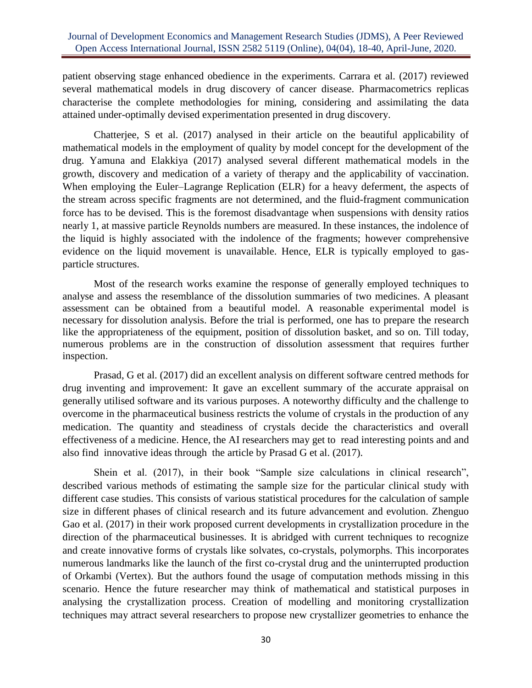patient observing stage enhanced obedience in the experiments. Carrara et al. (2017) reviewed several mathematical models in drug discovery of cancer disease. Pharmacometrics replicas characterise the complete methodologies for mining, considering and assimilating the data attained under-optimally devised experimentation presented in drug discovery.

Chatterjee, S et al. (2017) analysed in their article on the beautiful applicability of mathematical models in the employment of quality by model concept for the development of the drug. Yamuna and Elakkiya (2017) analysed several different mathematical models in the growth, discovery and medication of a variety of therapy and the applicability of vaccination. When employing the Euler–Lagrange Replication (ELR) for a heavy deferment, the aspects of the stream across specific fragments are not determined, and the fluid-fragment communication force has to be devised. This is the foremost disadvantage when suspensions with density ratios nearly 1, at massive particle Reynolds numbers are measured. In these instances, the indolence of the liquid is highly associated with the indolence of the fragments; however comprehensive evidence on the liquid movement is unavailable. Hence, ELR is typically employed to gasparticle structures.

Most of the research works examine the response of generally employed techniques to analyse and assess the resemblance of the dissolution summaries of two medicines. A pleasant assessment can be obtained from a beautiful model. A reasonable experimental model is necessary for dissolution analysis. Before the trial is performed, one has to prepare the research like the appropriateness of the equipment, position of dissolution basket, and so on. Till today, numerous problems are in the construction of dissolution assessment that requires further inspection.

Prasad, G et al. (2017) did an excellent analysis on different software centred methods for drug inventing and improvement: It gave an excellent summary of the accurate appraisal on generally utilised software and its various purposes. A noteworthy difficulty and the challenge to overcome in the pharmaceutical business restricts the volume of crystals in the production of any medication. The quantity and steadiness of crystals decide the characteristics and overall effectiveness of a medicine. Hence, the AI researchers may get to read interesting points and and also find innovative ideas through the article by Prasad G et al. (2017).

Shein et al. (2017), in their book "Sample size calculations in clinical research", described various methods of estimating the sample size for the particular clinical study with different case studies. This consists of various statistical procedures for the calculation of sample size in different phases of clinical research and its future advancement and evolution. Zhenguo Gao et al. (2017) in their work proposed current developments in crystallization procedure in the direction of the pharmaceutical businesses. It is abridged with current techniques to recognize and create innovative forms of crystals like solvates, co-crystals, polymorphs. This incorporates numerous landmarks like the launch of the first co-crystal drug and the uninterrupted production of Orkambi (Vertex). But the authors found the usage of computation methods missing in this scenario. Hence the future researcher may think of mathematical and statistical purposes in analysing the crystallization process. Creation of modelling and monitoring crystallization techniques may attract several researchers to propose new crystallizer geometries to enhance the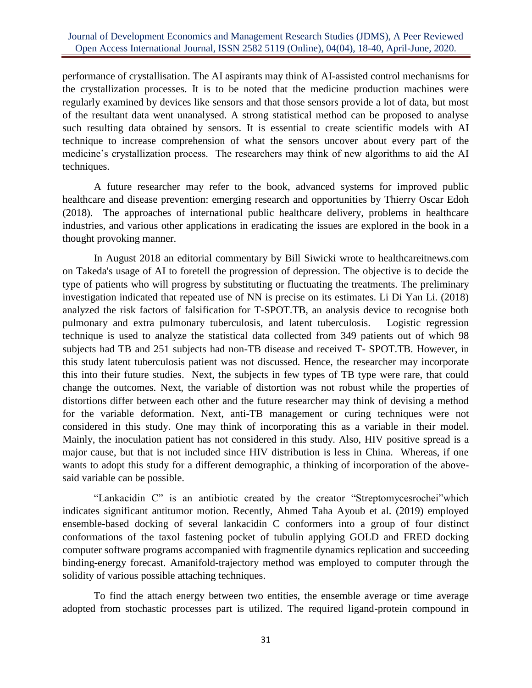performance of crystallisation. The AI aspirants may think of AI-assisted control mechanisms for the crystallization processes. It is to be noted that the medicine production machines were regularly examined by devices like sensors and that those sensors provide a lot of data, but most of the resultant data went unanalysed. A strong statistical method can be proposed to analyse such resulting data obtained by sensors. It is essential to create scientific models with AI technique to increase comprehension of what the sensors uncover about every part of the medicine's crystallization process. The researchers may think of new algorithms to aid the AI techniques.

A future researcher may refer to the book, advanced systems for improved public healthcare and disease prevention: emerging research and opportunities by Thierry Oscar Edoh (2018). The approaches of international public healthcare delivery, problems in healthcare industries, and various other applications in eradicating the issues are explored in the book in a thought provoking manner.

In August 2018 an editorial commentary by Bill Siwicki wrote to healthcareitnews.com on Takeda's usage of AI to foretell the progression of depression. The objective is to decide the type of patients who will progress by substituting or fluctuating the treatments. The preliminary investigation indicated that repeated use of NN is precise on its estimates. Li Di Yan Li. (2018) analyzed the risk factors of falsification for T-SPOT.TB, an analysis device to recognise both pulmonary and extra pulmonary tuberculosis, and latent tuberculosis. Logistic regression technique is used to analyze the statistical data collected from 349 patients out of which 98 subjects had TB and 251 subjects had non-TB disease and received T- SPOT.TB. However, in this study latent tuberculosis patient was not discussed. Hence, the researcher may incorporate this into their future studies. Next, the subjects in few types of TB type were rare, that could change the outcomes. Next, the variable of distortion was not robust while the properties of distortions differ between each other and the future researcher may think of devising a method for the variable deformation. Next, anti-TB management or curing techniques were not considered in this study. One may think of incorporating this as a variable in their model. Mainly, the inoculation patient has not considered in this study. Also, HIV positive spread is a major cause, but that is not included since HIV distribution is less in China. Whereas, if one wants to adopt this study for a different demographic, a thinking of incorporation of the abovesaid variable can be possible.

"Lankacidin C" is an antibiotic created by the creator "Streptomycesrochei"which indicates significant antitumor motion. Recently, Ahmed Taha Ayoub et al. (2019) employed ensemble-based docking of several lankacidin C conformers into a group of four distinct conformations of the taxol fastening pocket of tubulin applying GOLD and FRED docking computer software programs accompanied with fragmentile dynamics replication and succeeding binding-energy forecast. Amanifold-trajectory method was employed to computer through the solidity of various possible attaching techniques.

To find the attach energy between two entities, the ensemble average or time average adopted from stochastic processes part is utilized. The required ligand-protein compound in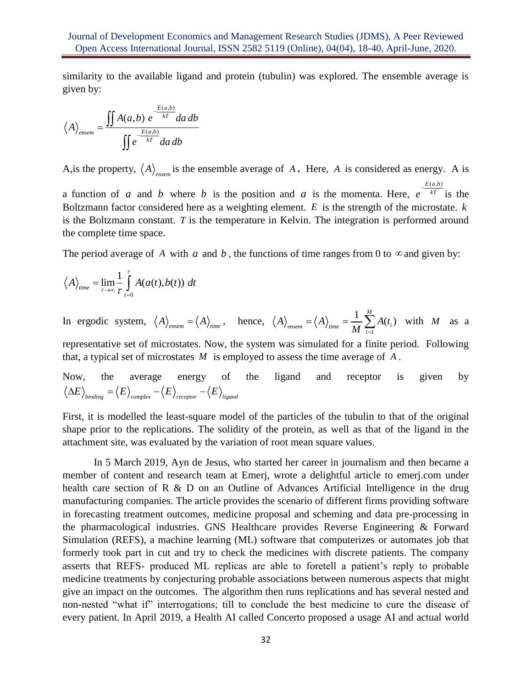similarity to the available ligand and protein (tubulin) was explored. The ensemble average is given by:

$$
\langle A \rangle_{\text{ensemble}} = \frac{\iint A(a,b) e^{-\frac{E(a,b)}{kT}} da \, db}{\iint e^{-\frac{E(a,b)}{kT}} da \, db}
$$

A, is the property,  $\langle A \rangle_{\text{ensemble average of } A$ . Here, A is considered as energy. A is a function of a and b where b is the position and a is the momenta. Here,  $e^{-\frac{E(x, b)}{kT}}$  is the  $E(a,b)$ Boltzmann factor considered here as a weighting element. *E* is the strength of the microstate. *k* is the Boltzmann constant. T is the temperature in Kelvin. The integration is performed around the complete time space.

The period average of A with a and b, the functions of time ranges from 0 to  $\infty$  and given by:

$$
\langle A \rangle_{time} = \lim_{\tau \to \infty} \frac{1}{\tau} \int_{t=0}^{\tau} A(a(t), b(t)) dt
$$

In ergodic system,  $\langle A \rangle_{\text{ensemble}} = \langle A \rangle_{\text{time}}$ , hence, 1  $\frac{1}{M}\sum_{i=1}^{M}A(t_i)$  $\langle A \rangle_{\text{ensemble}} = \langle A \rangle_{\text{time}} = \frac{1}{M} \sum_{i=1}^{M} A(t_i)$  with *M* as a representative set of microstates. Now, the system was simulated for a finite period. Following that, a typical set of microstates *M* is employed to assess the time average of *A* .

Now, the average energy of the ligand and receptor is given by  $\langle \Delta E \rangle_{bindine} = \langle E \rangle_{complex} - \langle E \rangle_{receptor} - \langle E \rangle_{linear}$ 

First, it is modelled the least-square model of the particles of the tubulin to that of the original shape prior to the replications. The solidity of the protein, as well as that of the ligand in the attachment site, was evaluated by the variation of root mean square values.

In 5 March 2019, Ayn de Jesus, who started her career in journalism and then became a member of content and research team at Emerj, wrote a delightful article to emerj.com under health care section of R & D on an Outline of Advances Artificial Intelligence in the drug manufacturing companies. The article provides the scenario of different firms providing software in forecasting treatment outcomes, medicine proposal and scheming and data pre-processing in the pharmacological industries. GNS Healthcare provides Reverse Engineering & Forward Simulation (REFS), a machine learning (ML) software that computerizes or automates job that formerly took part in cut and try to check the medicines with discrete patients. The company asserts that REFS- produced ML replicas are able to foretell a patient's reply to probable medicine treatments by conjecturing probable associations between numerous aspects that might give an impact on the outcomes. The algorithm then runs replications and has several nested and non-nested "what if" interrogations; till to conclude the best medicine to cure the disease of every patient. In April 2019, a Health AI called Concerto proposed a usage AI and actual world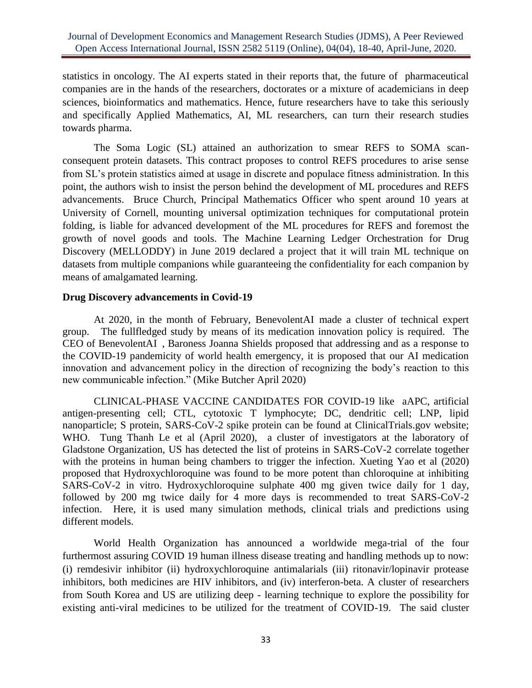statistics in oncology. The AI experts stated in their reports that, the future of pharmaceutical companies are in the hands of the researchers, doctorates or a mixture of academicians in deep sciences, bioinformatics and mathematics. Hence, future researchers have to take this seriously and specifically Applied Mathematics, AI, ML researchers, can turn their research studies towards pharma.

The Soma Logic (SL) attained an authorization to smear REFS to SOMA scanconsequent protein datasets. This contract proposes to control REFS procedures to arise sense from SL's protein statistics aimed at usage in discrete and populace fitness administration. In this point, the authors wish to insist the person behind the development of ML procedures and REFS advancements. Bruce Church, Principal Mathematics Officer who spent around 10 years at University of Cornell, mounting universal optimization techniques for computational protein folding, is liable for advanced development of the ML procedures for REFS and foremost the growth of novel goods and tools. The Machine Learning Ledger Orchestration for Drug Discovery (MELLODDY) in June 2019 declared a project that it will train ML technique on datasets from multiple companions while guaranteeing the confidentiality for each companion by means of amalgamated learning.

## **Drug Discovery advancements in Covid-19**

At 2020, in the month of February, [BenevolentAI](https://crunchbase.com/organization/benevolent-ai) made a cluster of technical expert group. The fullfledged study by means of its medication innovation policy is required. The CEO of [BenevolentAI](https://crunchbase.com/organization/benevolent-ai) , Baroness Joanna Shields proposed that addressing and as a response to the COVID-19 pandemicity of world health emergency, it is proposed that our AI medication innovation and advancement policy in the direction of recognizing the body's reaction to this new communicable infection." [\(Mike Butcher](https://techcrunch.com/author/mike-butcher/) April 2020)

CLINICAL-PHASE VACCINE CANDIDATES FOR COVID-19 like aAPC, artificial antigen-presenting cell; CTL, cytotoxic T lymphocyte; DC, dendritic cell; LNP, lipid nanoparticle; S protein, SARS-CoV-2 spike protein can be found at ClinicalTrials.gov website; WHO. Tung Thanh Le et al (April 2020), a cluster of investigators at the laboratory of Gladstone Organization, US has detected the list of proteins in SARS-CoV-2 correlate together with the proteins in human being chambers to trigger the infection. Xueting Yao et al (2020) proposed that Hydroxychloroquine was found to be more potent than chloroquine at inhibiting SARS-CoV-2 in vitro. Hydroxychloroquine sulphate 400 mg given twice daily for 1 day, followed by 200 mg twice daily for 4 more days is recommended to treat SARS-CoV-2 infection. Here, it is used many simulation methods, clinical trials and predictions using different models.

World Health Organization has announced a worldwide mega-trial of the four furthermost assuring COVID 19 human illness disease treating and handling methods up to now: (i) remdesivir inhibitor (ii) hydroxychloroquine antimalarials (iii) ritonavir/lopinavir protease inhibitors, both medicines are HIV inhibitors, and (iv) interferon-beta. A cluster of researchers from South Korea and US are utilizing deep - learning technique to explore the possibility for existing anti-viral medicines to be utilized for the treatment of COVID-19. The said cluster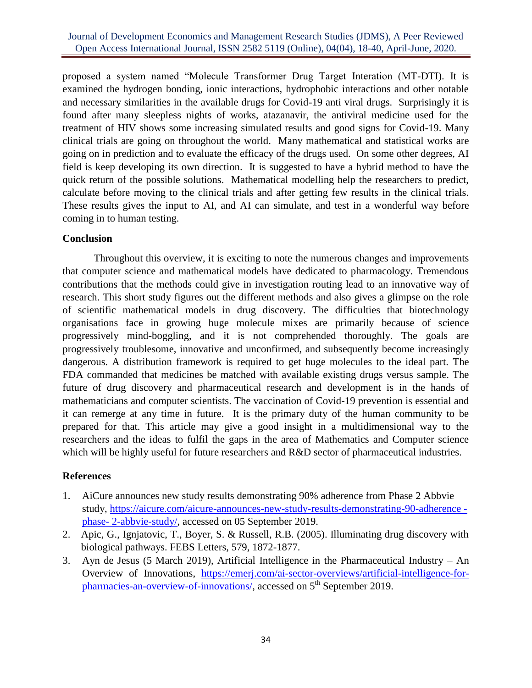proposed a system named "Molecule Transformer Drug Target Interation (MT-DTI). It is examined the hydrogen bonding, ionic interactions, hydrophobic interactions and other notable and necessary similarities in the available drugs for Covid-19 anti viral drugs. Surprisingly it is found after many sleepless nights of works, atazanavir, the antiviral medicine used for the treatment of HIV shows some increasing simulated results and good signs for Covid-19. Many clinical trials are going on throughout the world. Many mathematical and statistical works are going on in prediction and to evaluate the efficacy of the drugs used. On some other degrees, AI field is keep developing its own direction. It is suggested to have a hybrid method to have the quick return of the possible solutions. Mathematical modelling help the researchers to predict, calculate before moving to the clinical trials and after getting few results in the clinical trials. These results gives the input to AI, and AI can simulate, and test in a wonderful way before coming in to human testing.

## **Conclusion**

Throughout this overview, it is exciting to note the numerous changes and improvements that computer science and mathematical models have dedicated to pharmacology. Tremendous contributions that the methods could give in investigation routing lead to an innovative way of research. This short study figures out the different methods and also gives a glimpse on the role of scientific mathematical models in drug discovery. The difficulties that biotechnology organisations face in growing huge molecule mixes are primarily because of science progressively mind-boggling, and it is not comprehended thoroughly. The goals are progressively troublesome, innovative and unconfirmed, and subsequently become increasingly dangerous. A distribution framework is required to get huge molecules to the ideal part. The FDA commanded that medicines be matched with available existing drugs versus sample. The future of drug discovery and pharmaceutical research and development is in the hands of mathematicians and computer scientists. The vaccination of Covid-19 prevention is essential and it can remerge at any time in future. It is the primary duty of the human community to be prepared for that. This article may give a good insight in a multidimensional way to the researchers and the ideas to fulfil the gaps in the area of Mathematics and Computer science which will be highly useful for future researchers and R&D sector of pharmaceutical industries.

# **References**

- 1. AiCure announces new study results demonstrating 90% adherence from Phase 2 Abbvie study, [https://aicure.com/aicure-announces-new-study-results-demonstrating-90-adherence](https://aicure.com/aicure-announces-new-study-results-demonstrating-90-adherence%20-%20phase-%202-abbvie-study/)  phase- [2-abbvie-study/,](https://aicure.com/aicure-announces-new-study-results-demonstrating-90-adherence%20-%20phase-%202-abbvie-study/) accessed on 05 September 2019.
- 2. Apic, G., Ignjatovic, T., Boyer, S. & Russell, R.B. (2005). Illuminating drug discovery with biological pathways. FEBS Letters, 579, 1872-1877.
- 3. Ayn de Jesus (5 March 2019), Artificial Intelligence in the Pharmaceutical Industry An Overview of Innovations, [https://emerj.com/ai-sector-overviews/artificial-intelligence-for](https://emerj.com/ai-sector-overviews/artificial-intelligence-for-pharmacies-an-overview-of-innovations/)[pharmacies-an-overview-of-innovations/,](https://emerj.com/ai-sector-overviews/artificial-intelligence-for-pharmacies-an-overview-of-innovations/) accessed on 5th September 2019.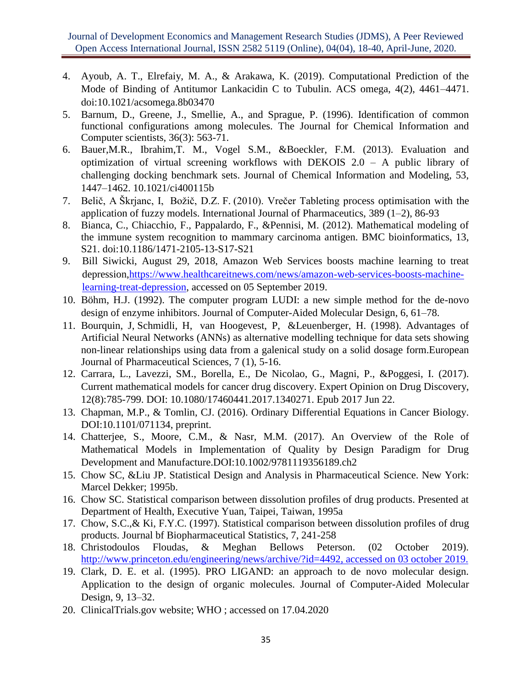- 4. Ayoub, A. T., Elrefaiy, M. A., & Arakawa, K. (2019). Computational Prediction of the Mode of Binding of Antitumor Lankacidin C to Tubulin. ACS omega, 4(2), 4461–4471. doi:10.1021/acsomega.8b03470
- 5. Barnum, D., Greene, J., Smellie, A., and Sprague, P. (1996). Identification of common functional configurations among molecules. The Journal for Chemical Information and Computer scientists, 36(3): 563-71.
- 6. Bauer,M.R., Ibrahim,T. M., Vogel S.M., &Boeckler, F.M. (2013). Evaluation and optimization of virtual screening workflows with DEKOIS 2.0 – A public library of challenging docking benchmark sets. Journal of Chemical Information and Modeling, 53, 1447–1462. 10.1021/ci400115b
- 7. Belič, A Škrjanc, I, Božič, D.Z. F. (2010). Vrečer Tableting process optimisation with the application of fuzzy models. International Journal of Pharmaceutics, 389 (1–2), 86-93
- 8. Bianca, C., Chiacchio, F., Pappalardo, F., &Pennisi, M. (2012). Mathematical modeling of the immune system recognition to mammary carcinoma antigen. BMC bioinformatics, 13, S21. doi:10.1186/1471-2105-13-S17-S21
- 9. Bill Siwicki, August 29, 2018, Amazon Web Services boosts machine learning to treat depression[,https://www.healthcareitnews.com/news/amazon-web-services-boosts-machine](https://www.healthcareitnews.com/news/amazon-web-services-boosts-machine-%20learning-treat-depression)[learning-treat-depression,](https://www.healthcareitnews.com/news/amazon-web-services-boosts-machine-%20learning-treat-depression) accessed on 05 September 2019.
- 10. Böhm, H.J. (1992). The computer program LUDI: a new simple method for the de-novo design of enzyme inhibitors. Journal of Computer-Aided Molecular Design, 6, 61–78.
- 11. Bourquin, J, Schmidli, H, van Hoogevest, P, &Leuenberger, H. (1998). Advantages of Artificial Neural Networks (ANNs) as alternative modelling technique for data sets showing non-linear relationships using data from a galenical study on a solid dosage form.European Journal of Pharmaceutical Sciences, 7 (1), 5-16.
- 12. Carrara, L., Lavezzi, SM., Borella, E., De Nicolao, G., Magni, P., &Poggesi, I. (2017). Current mathematical models for cancer drug discovery. Expert Opinion on Drug Discovery, 12(8):785-799. DOI: 10.1080/17460441.2017.1340271. Epub 2017 Jun 22.
- 13. Chapman, M.P., & Tomlin, CJ. (2016). Ordinary Differential Equations in Cancer Biology. DOI:10.1101/071134, preprint.
- 14. Chatterjee, S., Moore, C.M., & Nasr, M.M. (2017). An Overview of the Role of Mathematical Models in Implementation of Quality by Design Paradigm for Drug Development and Manufacture.DOI:10.1002/9781119356189.ch2
- 15. Chow SC, &Liu JP. Statistical Design and Analysis in Pharmaceutical Science. New York: Marcel Dekker; 1995b.
- 16. Chow SC. Statistical comparison between dissolution profiles of drug products. Presented at Department of Health, Executive Yuan, Taipei, Taiwan, 1995a
- 17. Chow, S.C.,& Ki, F.Y.C. (1997). Statistical comparison between dissolution profiles of drug products. Journal bf Biopharmaceutical Statistics, 7, 241-258
- 18. Christodoulos Floudas, & Meghan Bellows Peterson. (02 October 2019). [http://www.princeton.edu/engineering/news/archive/?id=4492,](http://www.princeton.edu/engineering/news/archive/?id=4492) accessed on 03 october 2019.
- 19. Clark, D. E. et al. (1995). PRO LIGAND: an approach to de novo molecular design. Application to the design of organic molecules. Journal of Computer-Aided Molecular Design, 9, 13–32.
- 20. ClinicalTrials.gov website; WHO ; accessed on 17.04.2020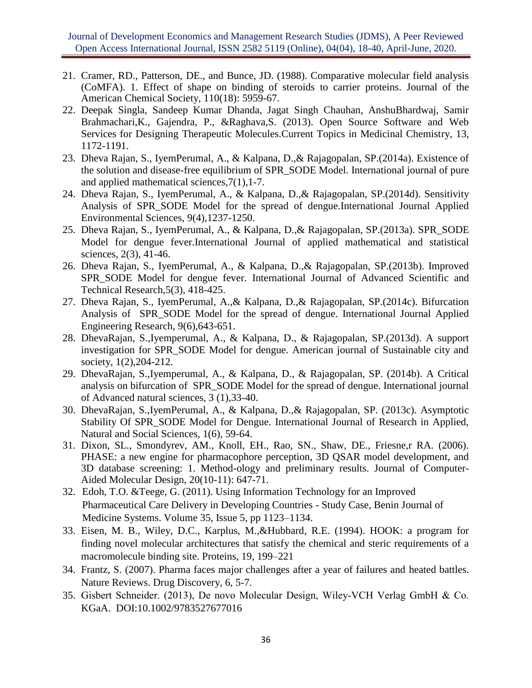- 21. Cramer, RD., Patterson, DE., and Bunce, JD. (1988). Comparative molecular field analysis (CoMFA). 1. Effect of shape on binding of steroids to carrier proteins. Journal of the American Chemical Society, 110(18): 5959-67.
- 22. Deepak Singla, Sandeep Kumar Dhanda, Jagat Singh Chauhan, AnshuBhardwaj, Samir Brahmachari,K., Gajendra, P., &Raghava,S. (2013). Open Source Software and Web Services for Designing Therapeutic Molecules.Current Topics in Medicinal Chemistry, 13, 1172-1191.
- 23. Dheva Rajan, S., IyemPerumal, A., & Kalpana, D.,& Rajagopalan, SP.(2014a). Existence of the solution and disease-free equilibrium of SPR\_SODE Model. International journal of pure and applied mathematical sciences,7(1),1-7.
- 24. Dheva Rajan, S., IyemPerumal, A., & Kalpana, D.,& Rajagopalan, SP.(2014d). Sensitivity Analysis of SPR\_SODE Model for the spread of dengue.International Journal Applied Environmental Sciences, 9(4),1237-1250.
- 25. Dheva Rajan, S., IyemPerumal, A., & Kalpana, D.,& Rajagopalan, SP.(2013a). SPR\_SODE Model for dengue fever.International Journal of applied mathematical and statistical sciences, 2(3), 41-46.
- 26. Dheva Rajan, S., IyemPerumal, A., & Kalpana, D.,& Rajagopalan, SP.(2013b). Improved SPR\_SODE Model for dengue fever. International Journal of Advanced Scientific and Technical Research,5(3), 418-425.
- 27. Dheva Rajan, S., IyemPerumal, A.,& Kalpana, D.,& Rajagopalan, SP.(2014c). Bifurcation Analysis of SPR\_SODE Model for the spread of dengue. International Journal Applied Engineering Research, 9(6),643-651.
- 28. DhevaRajan, S.,Iyemperumal, A., & Kalpana, D., & Rajagopalan, SP.(2013d). A support investigation for SPR\_SODE Model for dengue. American journal of Sustainable city and society, 1(2),204-212.
- 29. DhevaRajan, S.,Iyemperumal, A., & Kalpana, D., & Rajagopalan, SP. (2014b). A Critical analysis on bifurcation of SPR\_SODE Model for the spread of dengue. International journal of Advanced natural sciences, 3 (1),33-40.
- 30. DhevaRajan, S.,IyemPerumal, A., & Kalpana, D.,& Rajagopalan, SP. (2013c). Asymptotic Stability Of SPR\_SODE Model for Dengue. International Journal of Research in Applied, Natural and Social Sciences, 1(6), 59-64.
- 31. Dixon, SL., Smondyrev, AM., Knoll, EH., Rao, SN., Shaw, DE., Friesne,r RA. (2006). PHASE: a new engine for pharmacophore perception, 3D QSAR model development, and 3D database screening: 1. Method-ology and preliminary results. Journal of Computer-Aided Molecular Design, 20(10-11): 647-71.
- 32. Edoh, T.O. &Teege, G. (2011). Using Information Technology for an Improved Pharmaceutical Care Delivery in Developing Countries - Study Case, Benin Journal of Medicine Systems. Volume 35, Issue 5, pp 1123–1134.
- 33. Eisen, M. B., Wiley, D.C., Karplus, M.,&Hubbard, R.E. (1994). HOOK: a program for finding novel molecular architectures that satisfy the chemical and steric requirements of a macromolecule binding site. Proteins, 19, 199–221
- 34. Frantz, S. (2007). Pharma faces major challenges after a year of failures and heated battles. Nature Reviews. Drug Discovery, 6, 5-7.
- 35. Gisbert Schneider. (2013), De novo Molecular Design, Wiley‐VCH Verlag GmbH & Co. KGaA. DOI:10.1002/9783527677016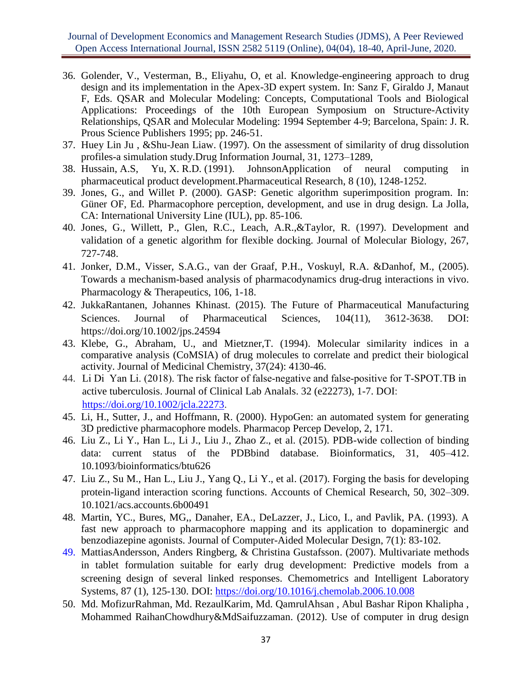Journal of Development Economics and Management Research Studies (JDMS), A Peer Reviewed Open Access International Journal, ISSN 2582 5119 (Online), 04(04), 18-40, April-June, 2020.

- 36. Golender, V., Vesterman, B., Eliyahu, O, et al. Knowledge-engineering approach to drug design and its implementation in the Apex-3D expert system. In: Sanz F, Giraldo J, Manaut F, Eds. QSAR and Molecular Modeling: Concepts, Computational Tools and Biological Applications: Proceedings of the 10th European Symposium on Structure-Activity Relationships, QSAR and Molecular Modeling: 1994 September 4-9; Barcelona, Spain: J. R. Prous Science Publishers 1995; pp. 246-51.
- 37. Huey Lin Ju , &Shu-Jean Liaw. (1997). On the assessment of similarity of drug dissolution profiles-a simulation study.Drug Information Journal, 31, 1273–1289,
- 38. Hussain, A.S, Yu, X. R.D. (1991). JohnsonApplication of neural computing in pharmaceutical product development.Pharmaceutical Research, 8 (10), 1248-1252.
- 39. Jones, G., and Willet P. (2000). GASP: Genetic algorithm superimposition program. In: Güner OF, Ed. Pharmacophore perception, development, and use in drug design. La Jolla, CA: International University Line (IUL), pp. 85-106.
- 40. Jones, G., Willett, P., Glen, R.C., Leach, A.R.,&Taylor, R. (1997). Development and validation of a genetic algorithm for flexible docking. Journal of Molecular Biology, 267, 727-748.
- 41. Jonker, D.M., Visser, S.A.G., van der Graaf, P.H., Voskuyl, R.A. &Danhof, M., (2005). Towards a mechanism-based analysis of pharmacodynamics drug-drug interactions in vivo. Pharmacology & Therapeutics, 106, 1-18.
- 42. JukkaRantanen, Johannes Khinast. (2015). The Future of Pharmaceutical Manufacturing Sciences. Journal of Pharmaceutical Sciences, 104(11), 3612-3638. DOI: https://doi.org/10.1002/jps.24594
- 43. Klebe, G., Abraham, U., and Mietzner,T. (1994). Molecular similarity indices in a comparative analysis (CoMSIA) of drug molecules to correlate and predict their biological activity. Journal of Medicinal Chemistry, 37(24): 4130-46.
- 44. Li Di Yan Li. (2018). The risk factor of false-negative and false-positive for T-SPOT.TB in active tuberculosis. Journal of Clinical Lab Analals. 32 (e22273), 1-7. DOI: [https://doi.org/10.1002/jcla.22273.](https://doi.org/10.1002/jcla.22273)
- 45. Li, H., Sutter, J., and Hoffmann, R. (2000). HypoGen: an automated system for generating 3D predictive pharmacophore models. Pharmacop Percep Develop, 2, 171.
- 46. Liu Z., Li Y., Han L., Li J., Liu J., Zhao Z., et al. (2015). PDB-wide collection of binding data: current status of the PDBbind database. Bioinformatics, 31, 405–412. 10.1093/bioinformatics/btu626
- 47. Liu Z., Su M., Han L., Liu J., Yang Q., Li Y., et al. (2017). Forging the basis for developing protein-ligand interaction scoring functions. Accounts of Chemical Research, 50, 302–309. 10.1021/acs.accounts.6b00491
- 48. Martin, YC., Bures, MG,, Danaher, EA., DeLazzer, J., Lico, I., and Pavlik, PA. (1993). A fast new approach to pharmacophore mapping and its application to dopaminergic and benzodiazepine agonists. Journal of Computer-Aided Molecular Design, 7(1): 83-102.
- 49. MattiasAndersson, Anders Ringberg, & Christina Gustafsson. (2007). Multivariate methods in tablet formulation suitable for early drug development: Predictive models from a screening design of several linked responses. Chemometrics and Intelligent Laboratory Systems, 87 (1), 125-130. DOI:<https://doi.org/10.1016/j.chemolab.2006.10.008>
- 50. Md. MofizurRahman, Md. RezaulKarim, Md. QamrulAhsan , Abul Bashar Ripon Khalipha , Mohammed RaihanChowdhury&MdSaifuzzaman. (2012). Use of computer in drug design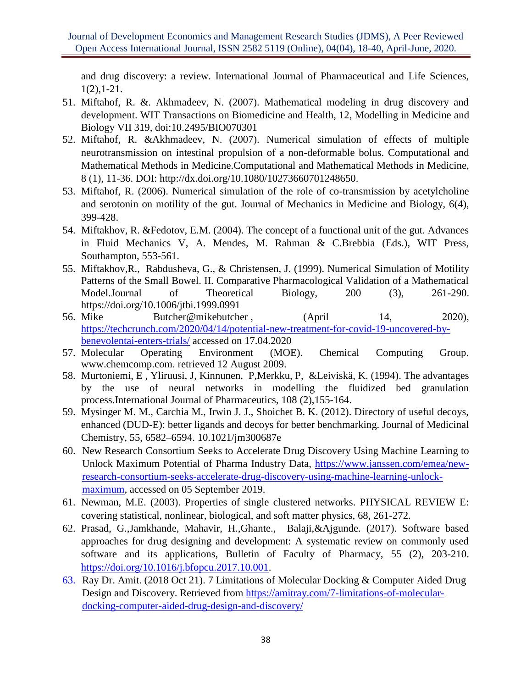and drug discovery: a review. International Journal of Pharmaceutical and Life Sciences, 1(2),1-21.

- 51. Miftahof, R. &. Akhmadeev, N. (2007). Mathematical modeling in drug discovery and development. WIT Transactions on Biomedicine and Health, 12, Modelling in Medicine and Biology VII 319, doi:10.2495/BIO070301
- 52. Miftahof, R. &Akhmadeev, N. (2007). Numerical simulation of effects of multiple neurotransmission on intestinal propulsion of a non-deformable bolus. Computational and Mathematical Methods in Medicine.Computational and Mathematical Methods in Medicine, 8 (1), 11-36. DOI: http://dx.doi.org/10.1080/10273660701248650.
- 53. Miftahof, R. (2006). Numerical simulation of the role of co-transmission by acetylcholine and serotonin on motility of the gut. Journal of Mechanics in Medicine and Biology, 6(4), 399-428.
- 54. Miftakhov, R. &Fedotov, E.M. (2004). The concept of a functional unit of the gut. Advances in Fluid Mechanics V, A. Mendes, M. Rahman & C.Brebbia (Eds.), WIT Press, Southampton, 553-561.
- 55. Miftakhov,R., Rabdusheva, G., & Christensen, J. (1999). Numerical Simulation of Motility Patterns of the Small Bowel. II. Comparative Pharmacological Validation of a Mathematical Model.Journal of Theoretical Biology, 200 (3), 261-290. https://doi.org/10.1006/jtbi.1999.0991
- 56. [Mike Butcher@mikebutcher](https://techcrunch.com/author/mike-butcher/), (April 14, 2020), [https://techcrunch.com/2020/04/14/potential-new-treatment-for-covid-19-uncovered-by](https://techcrunch.com/2020/04/14/potential-new-treatment-for-covid-19-uncovered-by-benevolentai-enters-trials/)[benevolentai-enters-trials/](https://techcrunch.com/2020/04/14/potential-new-treatment-for-covid-19-uncovered-by-benevolentai-enters-trials/) accessed on 17.04.2020
- 57. Molecular Operating Environment (MOE). Chemical Computing Group. www.chemcomp.com. retrieved 12 August 2009.
- 58. Murtoniemi, E , Yliruusi, J, Kinnunen, P,Merkku, P, &Leiviskä, K. (1994). The advantages by the use of neural networks in modelling the fluidized bed granulation process.International Journal of Pharmaceutics, 108 (2),155-164.
- 59. Mysinger M. M., Carchia M., Irwin J. J., Shoichet B. K. (2012). Directory of useful decoys, enhanced (DUD-E): better ligands and decoys for better benchmarking. Journal of Medicinal Chemistry, 55, 6582–6594. 10.1021/jm300687e
- 60. New Research Consortium Seeks to Accelerate Drug Discovery Using Machine Learning to Unlock Maximum Potential of Pharma Industry Data, [https://www.janssen.com/emea/new](https://www.janssen.com/emea/new-research-consortium-seeks-accelerate-drug-discovery-using-machine-learning-unlock-maximum)[research-consortium-seeks-accelerate-drug-discovery-using-machine-learning-unlock](https://www.janssen.com/emea/new-research-consortium-seeks-accelerate-drug-discovery-using-machine-learning-unlock-maximum)[maximum,](https://www.janssen.com/emea/new-research-consortium-seeks-accelerate-drug-discovery-using-machine-learning-unlock-maximum) accessed on 05 September 2019.
- 61. Newman, M.E. (2003). Properties of single clustered networks. PHYSICAL REVIEW E: covering statistical, nonlinear, biological, and soft matter physics, 68, 261-272.
- 62. Prasad, G.,Jamkhande, Mahavir, H.,Ghante., Balaji,&Ajgunde. (2017). Software based approaches for drug designing and development: A systematic review on commonly used software and its applications, Bulletin of Faculty of Pharmacy, 55 (2), 203-210. [https://doi.org/10.1016/j.bfopcu.2017.10.001.](https://doi.org/10.1016/j.bfopcu.2017.10.001)
- 63. Ray Dr. Amit. (2018 Oct 21). 7 Limitations of Molecular Docking & Computer Aided Drug Design and Discovery. Retrieved from [https://amitray.com/7-limitations-of-molecular](https://amitray.com/7-limitations-of-molecular-docking-computer-aided-drug-design-and-discovery/)[docking-computer-aided-drug-design-and-discovery/](https://amitray.com/7-limitations-of-molecular-docking-computer-aided-drug-design-and-discovery/)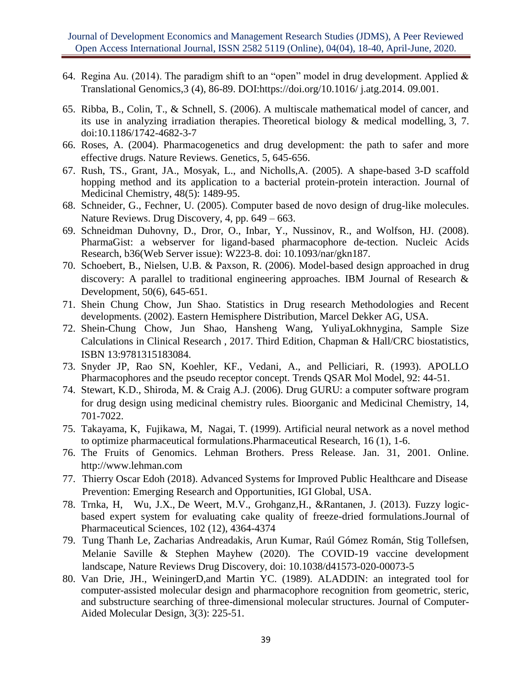- 64. Regina Au. (2014). The paradigm shift to an "open" model in drug development. Applied  $\&$ Translational Genomics,3 (4), 86-89. DOI:https://doi.org/10.1016/ j.atg.2014. 09.001.
- 65. Ribba, B., Colin, T., & Schnell, S. (2006). A multiscale mathematical model of cancer, and its use in analyzing irradiation therapies. Theoretical biology & medical modelling, 3, 7. doi:10.1186/1742-4682-3-7
- 66. Roses, A. (2004). Pharmacogenetics and drug development: the path to safer and more effective drugs. Nature Reviews. Genetics, 5, 645-656.
- 67. Rush, TS., Grant, JA., Mosyak, L., and Nicholls,A. (2005). A shape-based 3-D scaffold hopping method and its application to a bacterial protein-protein interaction. Journal of Medicinal Chemistry, 48(5): 1489-95.
- 68. Schneider, G., Fechner, U. (2005). Computer based de novo design of drug-like molecules. Nature Reviews. Drug Discovery, 4, pp. 649 – 663.
- 69. Schneidman Duhovny, D., Dror, O., Inbar, Y., Nussinov, R., and Wolfson, HJ. (2008). PharmaGist: a webserver for ligand-based pharmacophore de-tection. Nucleic Acids Research, b36(Web Server issue): W223-8. doi: 10.1093/nar/gkn187.
- 70. Schoebert, B., Nielsen, U.B. & Paxson, R. (2006). Model-based design approached in drug discovery: A parallel to traditional engineering approaches. IBM Journal of Research & Development, 50(6), 645-651.
- 71. Shein Chung Chow, Jun Shao. Statistics in Drug research Methodologies and Recent developments. (2002). Eastern Hemisphere Distribution, Marcel Dekker AG, USA.
- 72. Shein-Chung Chow, Jun Shao, Hansheng Wang, YuliyaLokhnygina, Sample Size Calculations in Clinical Research , 2017. Third Edition, Chapman & Hall/CRC biostatistics, ISBN 13:9781315183084.
- 73. Snyder JP, Rao SN, Koehler, KF., Vedani, A., and Pelliciari, R. (1993). APOLLO Pharmacophores and the pseudo receptor concept. Trends QSAR Mol Model, 92: 44-51.
- 74. Stewart, K.D., Shiroda, M. & Craig A.J. (2006). Drug GURU: a computer software program for drug design using medicinal chemistry rules. Bioorganic and Medicinal Chemistry, 14, 701-7022.
- 75. Takayama, K, Fujikawa, M, Nagai, T. (1999). Artificial neural network as a novel method to optimize pharmaceutical formulations.Pharmaceutical Research, 16 (1), 1-6.
- 76. The Fruits of Genomics. Lehman Brothers. Press Release. Jan. 31, 2001. Online. http://www.lehman.com
- 77. Thierry Oscar Edoh (2018). Advanced Systems for Improved Public Healthcare and Disease Prevention: Emerging Research and Opportunities, IGI Global, USA.
- 78. Trnka, H, Wu, J.X., De Weert, M.V., Grohganz,H., &Rantanen, J. (2013). Fuzzy logicbased expert system for evaluating cake quality of freeze-dried formulations.Journal of Pharmaceutical Sciences, 102 (12), 4364-4374
- 79. Tung Thanh Le, Zacharias Andreadakis, Arun Kumar, Raúl Gómez Román, Stig Tollefsen, Melanie Saville & Stephen Mayhew (2020). The COVID-19 vaccine development landscape, Nature Reviews Drug Discovery, doi: 10.1038/d41573-020-00073-5
- 80. Van Drie, JH., WeiningerD,and Martin YC. (1989). ALADDIN: an integrated tool for computer-assisted molecular design and pharmacophore recognition from geometric, steric, and substructure searching of three-dimensional molecular structures. Journal of Computer-Aided Molecular Design, 3(3): 225-51.